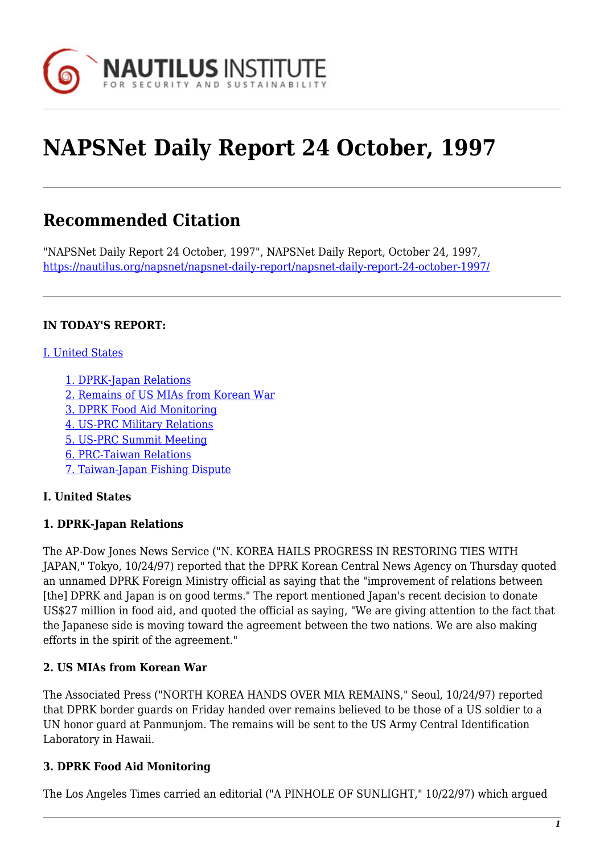

# **NAPSNet Daily Report 24 October, 1997**

# **Recommended Citation**

"NAPSNet Daily Report 24 October, 1997", NAPSNet Daily Report, October 24, 1997, <https://nautilus.org/napsnet/napsnet-daily-report/napsnet-daily-report-24-october-1997/>

#### **IN TODAY'S REPORT:**

#### [I. United States](#page-0-0)

- [1. DPRK-Japan Relations](#page-0-1)
- [2. Remains of US MIAs from Korean War](#page-0-2)
- [3. DPRK Food Aid Monitoring](#page-0-3)
- [4. US-PRC Military Relations](#page-1-0)
- [5. US-PRC Summit Meeting](#page-1-1)
- [6. PRC-Taiwan Relations](#page-2-0)
- [7. Taiwan-Japan Fishing Dispute](#page-2-1)

## <span id="page-0-0"></span>**I. United States**

## <span id="page-0-1"></span>**1. DPRK-Japan Relations**

The AP-Dow Jones News Service ("N. KOREA HAILS PROGRESS IN RESTORING TIES WITH JAPAN," Tokyo, 10/24/97) reported that the DPRK Korean Central News Agency on Thursday quoted an unnamed DPRK Foreign Ministry official as saying that the "improvement of relations between [the] DPRK and Japan is on good terms." The report mentioned Japan's recent decision to donate US\$27 million in food aid, and quoted the official as saying, "We are giving attention to the fact that the Japanese side is moving toward the agreement between the two nations. We are also making efforts in the spirit of the agreement."

## <span id="page-0-2"></span>**2. US MIAs from Korean War**

The Associated Press ("NORTH KOREA HANDS OVER MIA REMAINS," Seoul, 10/24/97) reported that DPRK border guards on Friday handed over remains believed to be those of a US soldier to a UN honor guard at Panmunjom. The remains will be sent to the US Army Central Identification Laboratory in Hawaii.

## <span id="page-0-3"></span>**3. DPRK Food Aid Monitoring**

The Los Angeles Times carried an editorial ("A PINHOLE OF SUNLIGHT," 10/22/97) which argued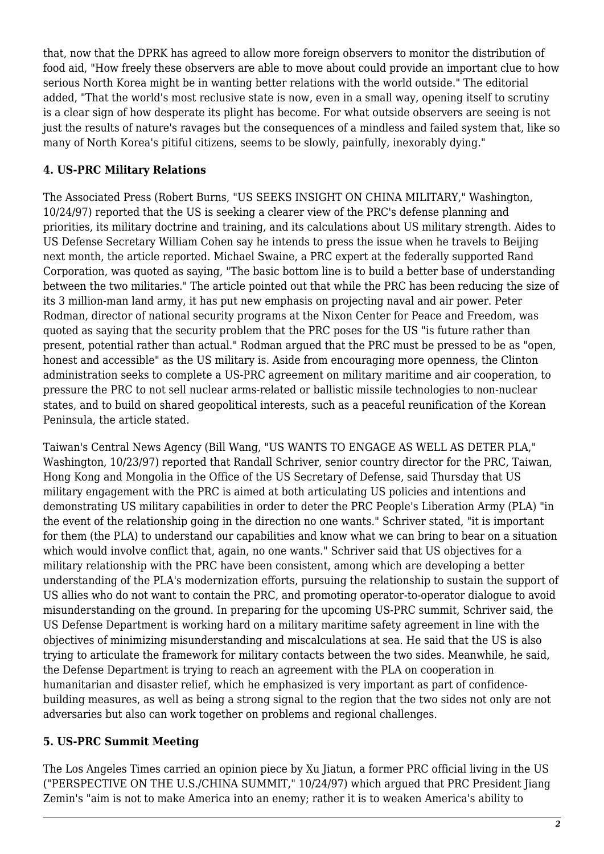that, now that the DPRK has agreed to allow more foreign observers to monitor the distribution of food aid, "How freely these observers are able to move about could provide an important clue to how serious North Korea might be in wanting better relations with the world outside." The editorial added, "That the world's most reclusive state is now, even in a small way, opening itself to scrutiny is a clear sign of how desperate its plight has become. For what outside observers are seeing is not just the results of nature's ravages but the consequences of a mindless and failed system that, like so many of North Korea's pitiful citizens, seems to be slowly, painfully, inexorably dying."

#### <span id="page-1-0"></span>**4. US-PRC Military Relations**

The Associated Press (Robert Burns, "US SEEKS INSIGHT ON CHINA MILITARY," Washington, 10/24/97) reported that the US is seeking a clearer view of the PRC's defense planning and priorities, its military doctrine and training, and its calculations about US military strength. Aides to US Defense Secretary William Cohen say he intends to press the issue when he travels to Beijing next month, the article reported. Michael Swaine, a PRC expert at the federally supported Rand Corporation, was quoted as saying, "The basic bottom line is to build a better base of understanding between the two militaries." The article pointed out that while the PRC has been reducing the size of its 3 million-man land army, it has put new emphasis on projecting naval and air power. Peter Rodman, director of national security programs at the Nixon Center for Peace and Freedom, was quoted as saying that the security problem that the PRC poses for the US "is future rather than present, potential rather than actual." Rodman argued that the PRC must be pressed to be as "open, honest and accessible" as the US military is. Aside from encouraging more openness, the Clinton administration seeks to complete a US-PRC agreement on military maritime and air cooperation, to pressure the PRC to not sell nuclear arms-related or ballistic missile technologies to non-nuclear states, and to build on shared geopolitical interests, such as a peaceful reunification of the Korean Peninsula, the article stated.

Taiwan's Central News Agency (Bill Wang, "US WANTS TO ENGAGE AS WELL AS DETER PLA," Washington, 10/23/97) reported that Randall Schriver, senior country director for the PRC, Taiwan, Hong Kong and Mongolia in the Office of the US Secretary of Defense, said Thursday that US military engagement with the PRC is aimed at both articulating US policies and intentions and demonstrating US military capabilities in order to deter the PRC People's Liberation Army (PLA) "in the event of the relationship going in the direction no one wants." Schriver stated, "it is important for them (the PLA) to understand our capabilities and know what we can bring to bear on a situation which would involve conflict that, again, no one wants." Schriver said that US objectives for a military relationship with the PRC have been consistent, among which are developing a better understanding of the PLA's modernization efforts, pursuing the relationship to sustain the support of US allies who do not want to contain the PRC, and promoting operator-to-operator dialogue to avoid misunderstanding on the ground. In preparing for the upcoming US-PRC summit, Schriver said, the US Defense Department is working hard on a military maritime safety agreement in line with the objectives of minimizing misunderstanding and miscalculations at sea. He said that the US is also trying to articulate the framework for military contacts between the two sides. Meanwhile, he said, the Defense Department is trying to reach an agreement with the PLA on cooperation in humanitarian and disaster relief, which he emphasized is very important as part of confidencebuilding measures, as well as being a strong signal to the region that the two sides not only are not adversaries but also can work together on problems and regional challenges.

#### <span id="page-1-1"></span>**5. US-PRC Summit Meeting**

The Los Angeles Times carried an opinion piece by Xu Jiatun, a former PRC official living in the US ("PERSPECTIVE ON THE U.S./CHINA SUMMIT," 10/24/97) which argued that PRC President Jiang Zemin's "aim is not to make America into an enemy; rather it is to weaken America's ability to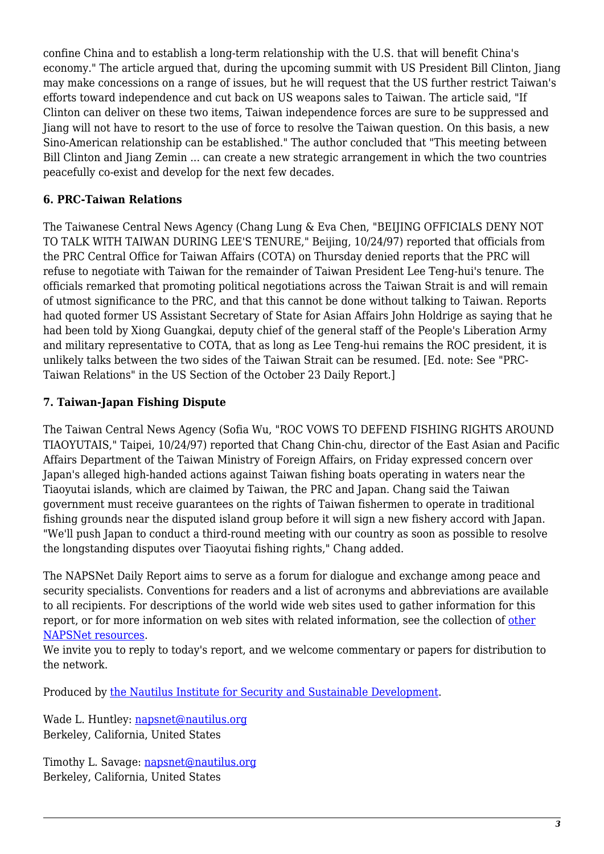confine China and to establish a long-term relationship with the U.S. that will benefit China's economy." The article argued that, during the upcoming summit with US President Bill Clinton, Jiang may make concessions on a range of issues, but he will request that the US further restrict Taiwan's efforts toward independence and cut back on US weapons sales to Taiwan. The article said, "If Clinton can deliver on these two items, Taiwan independence forces are sure to be suppressed and Jiang will not have to resort to the use of force to resolve the Taiwan question. On this basis, a new Sino-American relationship can be established." The author concluded that "This meeting between Bill Clinton and Jiang Zemin ... can create a new strategic arrangement in which the two countries peacefully co-exist and develop for the next few decades.

## <span id="page-2-0"></span>**6. PRC-Taiwan Relations**

The Taiwanese Central News Agency (Chang Lung & Eva Chen, "BEIJING OFFICIALS DENY NOT TO TALK WITH TAIWAN DURING LEE'S TENURE," Beijing, 10/24/97) reported that officials from the PRC Central Office for Taiwan Affairs (COTA) on Thursday denied reports that the PRC will refuse to negotiate with Taiwan for the remainder of Taiwan President Lee Teng-hui's tenure. The officials remarked that promoting political negotiations across the Taiwan Strait is and will remain of utmost significance to the PRC, and that this cannot be done without talking to Taiwan. Reports had quoted former US Assistant Secretary of State for Asian Affairs John Holdrige as saying that he had been told by Xiong Guangkai, deputy chief of the general staff of the People's Liberation Army and military representative to COTA, that as long as Lee Teng-hui remains the ROC president, it is unlikely talks between the two sides of the Taiwan Strait can be resumed. [Ed. note: See "PRC-Taiwan Relations" in the US Section of the October 23 Daily Report.]

## <span id="page-2-1"></span>**7. Taiwan-Japan Fishing Dispute**

The Taiwan Central News Agency (Sofia Wu, "ROC VOWS TO DEFEND FISHING RIGHTS AROUND TIAOYUTAIS," Taipei, 10/24/97) reported that Chang Chin-chu, director of the East Asian and Pacific Affairs Department of the Taiwan Ministry of Foreign Affairs, on Friday expressed concern over Japan's alleged high-handed actions against Taiwan fishing boats operating in waters near the Tiaoyutai islands, which are claimed by Taiwan, the PRC and Japan. Chang said the Taiwan government must receive guarantees on the rights of Taiwan fishermen to operate in traditional fishing grounds near the disputed island group before it will sign a new fishery accord with Japan. "We'll push Japan to conduct a third-round meeting with our country as soon as possible to resolve the longstanding disputes over Tiaoyutai fishing rights," Chang added.

The NAPSNet Daily Report aims to serve as a forum for dialogue and exchange among peace and security specialists. Conventions for readers and a list of acronyms and abbreviations are available to all recipients. For descriptions of the world wide web sites used to gather information for this report, or for more information on web sites with related information, see the collection of [other](http://www.nautilus.org/napsnet/resources.html) [NAPSNet resources.](http://www.nautilus.org/napsnet/resources.html)

We invite you to reply to today's report, and we welcome commentary or papers for distribution to the network.

Produced by [the Nautilus Institute for Security and Sustainable Development](http://www.nautilus.org/morenaut.html).

Wade L. Huntley: [napsnet@nautilus.org](mailto:napsnet@nautilus.org) Berkeley, California, United States

Timothy L. Savage: [napsnet@nautilus.org](mailto:napsnet@nautilus.org) Berkeley, California, United States